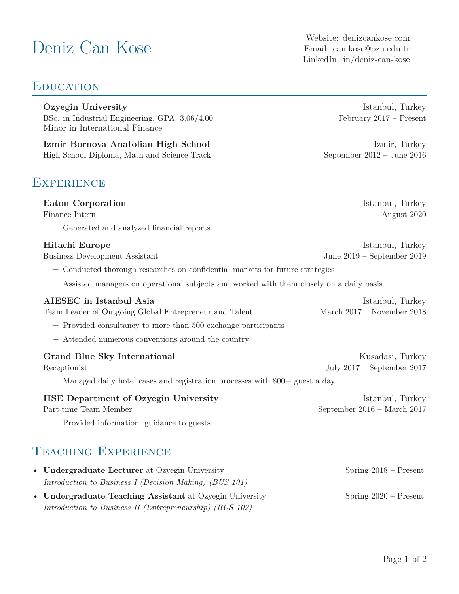# **EDUCATION**

**Ozyegin University** Istanbul, Turkey

BSc. in Industrial Engineering, GPA:  $3.06/4.00$  February 2017 – Present Minor in International Finance

**Izmir Bornova Anatolian High School** Izmir, Turkey High School Diploma, Math and Science Track September 2012 – June 2016

# **EXPERIENCE**

### **Eaton Corporation Istanbul, Turkey**

**–** Generated and analyzed financial reports

Business Development Assistant June 2019 – September 2019

- **–** Conducted thorough researches on confidential markets for future strategies
- **–** Assisted managers on operational subjects and worked with them closely on a daily basis

## **AIESEC in Istanbul Asia** Istanbul, Turkey

Team Leader of Outgoing Global Entrepreneur and Talent March 2017 – November 2018

- **–** Provided consultancy to more than 500 exchange participants
- **–** Attended numerous conventions around the country

| Grand Blue Sky International                                                 | Kusadasi, Turkey             |
|------------------------------------------------------------------------------|------------------------------|
| Receptionist                                                                 | July $2017$ – September 2017 |
| - Managed daily hotel cases and registration processes with 800+ guest a day |                              |

## **HSE Department of Ozyegin University Istanbul, Turkey** Istanbul, Turkey

**–** Provided information guidance to guests

# Teaching Experience

• **Undergraduate Lecturer** at Ozyegin University Spring 2018 – Present *Introduction to Business I (Decision Making) (BUS 101)* • **Undergraduate Teaching Assistant** at Ozyegin University Spring 2020 – Present *Introduction to Business II (Entrepreneurship) (BUS 102)*

Deniz Can Kose Website: [denizcankose.com](https://denizcankose.com/) Email: [can.kose@ozu.edu.tr](mailto:can.kose@ozu.edu.tr) LinkedIn: [in/deniz-can-kose](https://www.linkedin.com/in/in/deniz-can-kose/)

Finance Intern **August 2020** 

**Hitachi Europe** Istanbul, Turkey

Part-time Team Member September 2016 – March 2017

Page 1 of [2](#page-1-0)